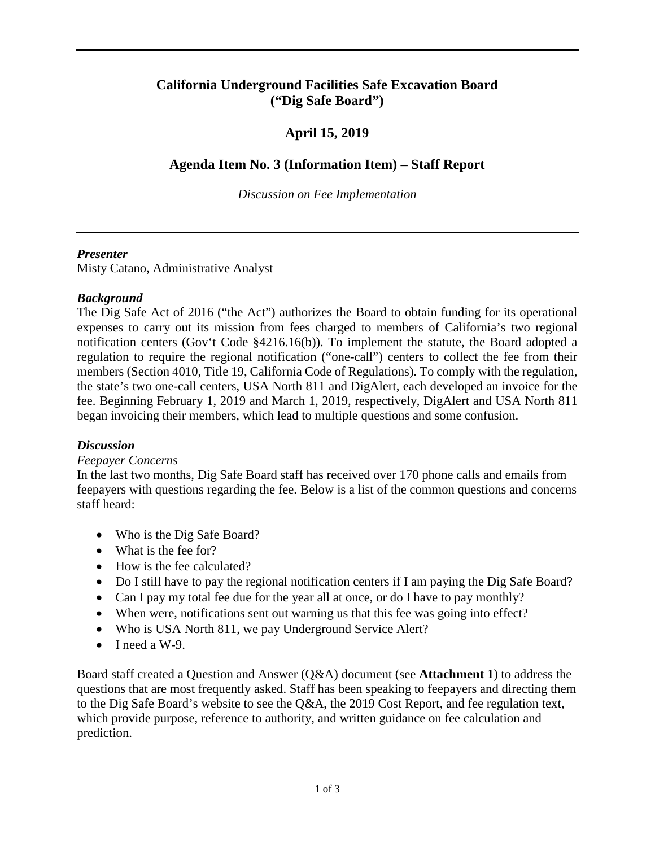#### **California Underground Facilities Safe Excavation Board ("Dig Safe Board")**

### **April 15, 2019**

#### **Agenda Item No. 3 (Information Item) – Staff Report**

*Discussion on Fee Implementation* 

#### *Presenter*

Misty Catano, Administrative Analyst

#### *Background*

 The Dig Safe Act of 2016 ("the Act") authorizes the Board to obtain funding for its operational expenses to carry out its mission from fees charged to members of California's two regional notification centers (Gov't Code §4216.16(b)). To implement the statute, the Board adopted a regulation to require the regional notification ("one-call") centers to collect the fee from their members (Section 4010, Title 19, California Code of Regulations). To comply with the regulation, the state's two one-call centers, USA North 811 and DigAlert, each developed an invoice for the fee. Beginning February 1, 2019 and March 1, 2019, respectively, DigAlert and USA North 811 began invoicing their members, which lead to multiple questions and some confusion.

#### *Discussion*

#### *Feepayer Concerns*

 In the last two months, Dig Safe Board staff has received over 170 phone calls and emails from feepayers with questions regarding the fee. Below is a list of the common questions and concerns staff heard:

- Who is the Dig Safe Board?
- What is the fee for?
- How is the fee calculated?
- Do I still have to pay the regional notification centers if I am paying the Dig Safe Board?
- Can I pay my total fee due for the year all at once, or do I have to pay monthly?
- When were, notifications sent out warning us that this fee was going into effect?
- Who is USA North 811, we pay Underground Service Alert?
- $\bullet$  I need a W-9.

 Board staff created a Question and Answer (Q&A) document (see **Attachment 1**) to address the questions that are most frequently asked. Staff has been speaking to feepayers and directing them to the Dig Safe Board's website to see the Q&A, the 2019 Cost Report, and fee regulation text, which provide purpose, reference to authority, and written guidance on fee calculation and prediction.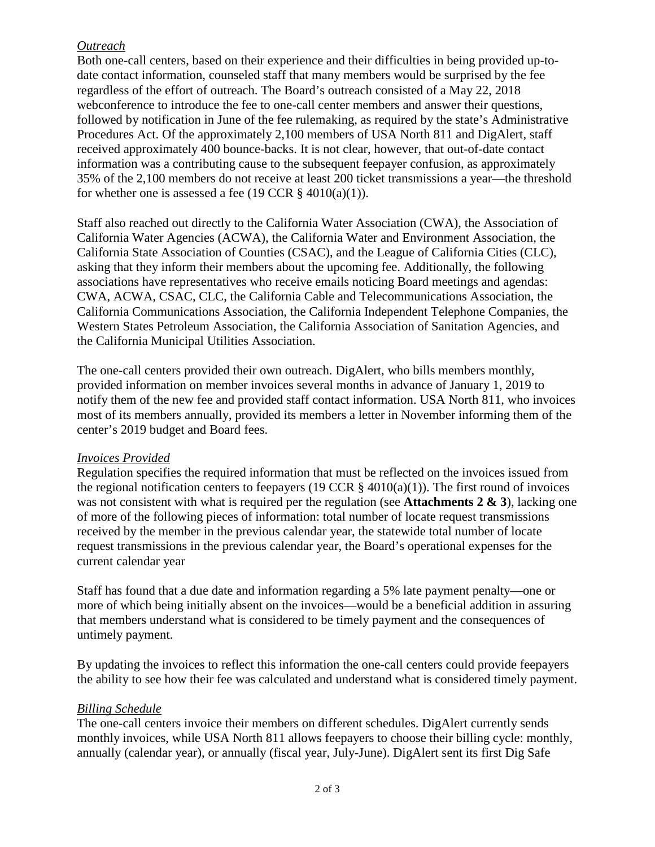#### *Outreach*

 date contact information, counseled staff that many members would be surprised by the fee webconference to introduce the fee to one-call center members and answer their questions, followed by notification in June of the fee rulemaking, as required by the state's Administrative Procedures Act. Of the approximately 2,100 members of USA North 811 and DigAlert, staff Both one-call centers, based on their experience and their difficulties in being provided up-toregardless of the effort of outreach. The Board's outreach consisted of a May 22, 2018 received approximately 400 bounce-backs. It is not clear, however, that out-of-date contact information was a contributing cause to the subsequent feepayer confusion, as approximately 35% of the 2,100 members do not receive at least 200 ticket transmissions a year—the threshold for whether one is assessed a fee (19 CCR  $\S$  4010(a)(1)).

 Staff also reached out directly to the California Water Association (CWA), the Association of California Water Agencies (ACWA), the California Water and Environment Association, the California State Association of Counties (CSAC), and the League of California Cities (CLC), asking that they inform their members about the upcoming fee. Additionally, the following associations have representatives who receive emails noticing Board meetings and agendas: CWA, ACWA, CSAC, CLC, the California Cable and Telecommunications Association, the California Communications Association, the California Independent Telephone Companies, the Western States Petroleum Association, the California Association of Sanitation Agencies, and the California Municipal Utilities Association.

The one-call centers provided their own outreach. DigAlert, who bills members monthly, provided information on member invoices several months in advance of January 1, 2019 to notify them of the new fee and provided staff contact information. USA North 811, who invoices most of its members annually, provided its members a letter in November informing them of the center's 2019 budget and Board fees.

#### *Invoices Provided*

 Regulation specifies the required information that must be reflected on the invoices issued from the regional notification centers to feepayers (19 CCR  $\S$  4010(a)(1)). The first round of invoices request transmissions in the previous calendar year, the Board's operational expenses for the was not consistent with what is required per the regulation (see **Attachments 2 & 3**), lacking one of more of the following pieces of information: total number of locate request transmissions received by the member in the previous calendar year, the statewide total number of locate current calendar year

 Staff has found that a due date and information regarding a 5% late payment penalty—one or more of which being initially absent on the invoices—would be a beneficial addition in assuring that members understand what is considered to be timely payment and the consequences of untimely payment.

 By updating the invoices to reflect this information the one-call centers could provide feepayers the ability to see how their fee was calculated and understand what is considered timely payment.

#### *Billing Schedule*

 The one-call centers invoice their members on different schedules. DigAlert currently sends monthly invoices, while USA North 811 allows feepayers to choose their billing cycle: monthly, annually (calendar year), or annually (fiscal year, July-June). DigAlert sent its first Dig Safe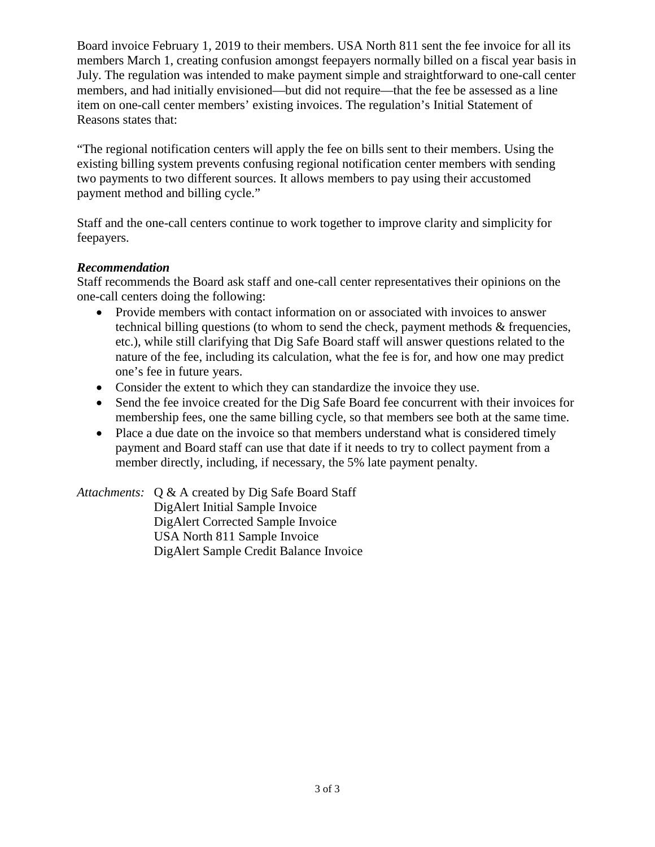Board invoice February 1, 2019 to their members. USA North 811 sent the fee invoice for all its members March 1, creating confusion amongst feepayers normally billed on a fiscal year basis in July. The regulation was intended to make payment simple and straightforward to one-call center Reasons states that: members, and had initially envisioned—but did not require—that the fee be assessed as a line item on one-call center members' existing invoices. The regulation's Initial Statement of

"The regional notification centers will apply the fee on bills sent to their members. Using the existing billing system prevents confusing regional notification center members with sending two payments to two different sources. It allows members to pay using their accustomed payment method and billing cycle."

Staff and the one-call centers continue to work together to improve clarity and simplicity for feepayers.

#### *Recommendation*

Staff recommends the Board ask staff and one-call center representatives their opinions on the one-call centers doing the following:

- • Provide members with contact information on or associated with invoices to answer nature of the fee, including its calculation, what the fee is for, and how one may predict technical billing questions (to whom to send the check, payment methods & frequencies, etc.), while still clarifying that Dig Safe Board staff will answer questions related to the one's fee in future years.
- Consider the extent to which they can standardize the invoice they use.
- • Send the fee invoice created for the Dig Safe Board fee concurrent with their invoices for membership fees, one the same billing cycle, so that members see both at the same time.
- • Place a due date on the invoice so that members understand what is considered timely payment and Board staff can use that date if it needs to try to collect payment from a member directly, including, if necessary, the 5% late payment penalty.

 *Attachments:* Q & A created by Dig Safe Board Staff DigAlert Corrected Sample Invoice USA North 811 Sample Invoice DigAlert Initial Sample Invoice DigAlert Sample Credit Balance Invoice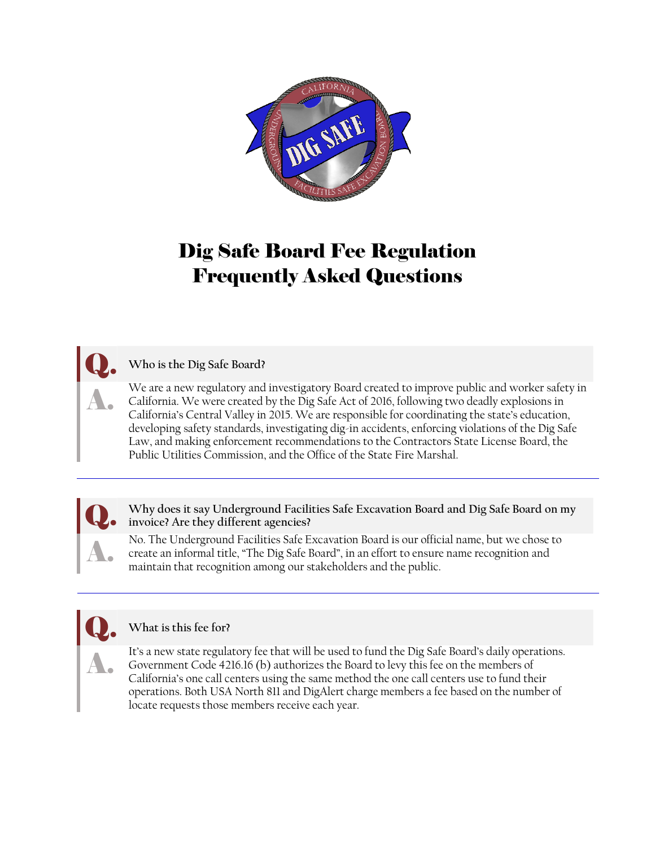

## Dig Safe Board Fee Regulation Frequently Asked Questions

#### Q. **Who is the Dig Safe Board?**

We are a new regulatory and investigatory Board created to improve public and worker safety in We are a new regulatory and investigatory Board created to improve public and worker safety in<br>California. We were created by the Dig Safe Act of 2016, following two deadly explosions in<br>California's Central Valley in 2015 California's Central Valley in 2015. We are responsible for coordinating the state's education, developing safety standards, investigating dig-in accidents, enforcing violations of the Dig Safe Law, and making enforcement recommendations to the Contractors State License Board, the Public Utilities Commission, and the Office of the State Fire Marshal.

Why does it say Underground Facilities Safe Excavation Board and Dig Safe Board on my **invoice? Are they different agencies?** 

No. The Underground Facilities Safe Excavation Board is our official name, but we chose to No. The Underground Facilities Safe Excavation Board is our official name, but we chose to create an informal title, "The Dig Safe Board", in an effort to ensure name recognition and maintain that recognition among our sta maintain that recognition among our stakeholders and the public.

#### Q. **What is this fee for?**

It's a new state regulatory fee that will be used to fund the Dig Safe Board's daily operations. It's a new state regulatory fee that will be used to fund the Dig Safe Board's daily operations.<br>Government Code 4216.16 (b) authorizes the Board to levy this fee on the members of<br>California's one call centers using the s California's one call centers using the same method the one call centers use to fund their operations. Both USA North 811 and DigAlert charge members a fee based on the number of locate requests those members receive each year.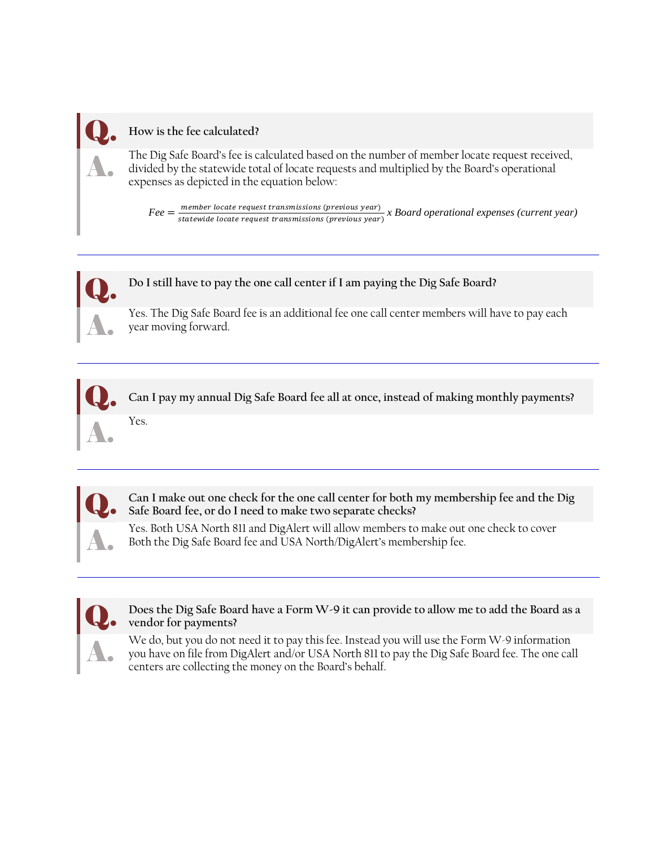

#### Q. **How is the fee calculated?**

The Dig Safe Board's fee is calculated based on the number of member locate request received, The Dig Safe Board's fee is calculated based on the number of member locate request received,<br>divided by the statewide total of locate requests and multiplied by the Board's operational<br>expenses as depicted in the equation expenses as depicted in the equation below:

> $\overline{a}$  $\textit{Fee} = \frac{\textit{member} \text{ locate request} \text{ transmissions} \text{ (previous year)}}{\textit{statewide} \text{ locate request} \text{ transmissions} \text{ (previous year)}} \textit{x} \textit{Board} \text{ operational expenses} \text{ (current year)}}$



# Q. **Do I still have to pay the one call center if I am paying the Dig Safe Board?**

Yes. The Dig Safe Board fee is an additional fee one call center members will have to pay each year moving forward.



Can I pay my annual Dig Safe Board fee all at once, instead of making monthly payments?

 **Safe Board fee, or do I need to make two separate checks?**  Can I make out one check for the one call center for both my membership fee and the Dig

Yes. Both USA North 811 and DigAlert will allow members to make out one check to cover<br>Both the Dig Safe Board fee and USA North/DigAlert's membership fee. Both the Dig Safe Board fee and USA North/DigAlert's membership fee.



Does the Dig Safe Board have a Form W-9 it can provide to allow me to add the Board as a **vendor for payments?** 

We do, but you do not need it to pay this fee. Instead you will use the Form W-9 information We do, but you do not need it to pay this fee. Instead you will use the Form W-9 information<br>you have on file from DigAlert and/or USA North 811 to pay the Dig Safe Board fee. The one call<br>centers are collecting the money centers are collecting the money on the Board's behalf.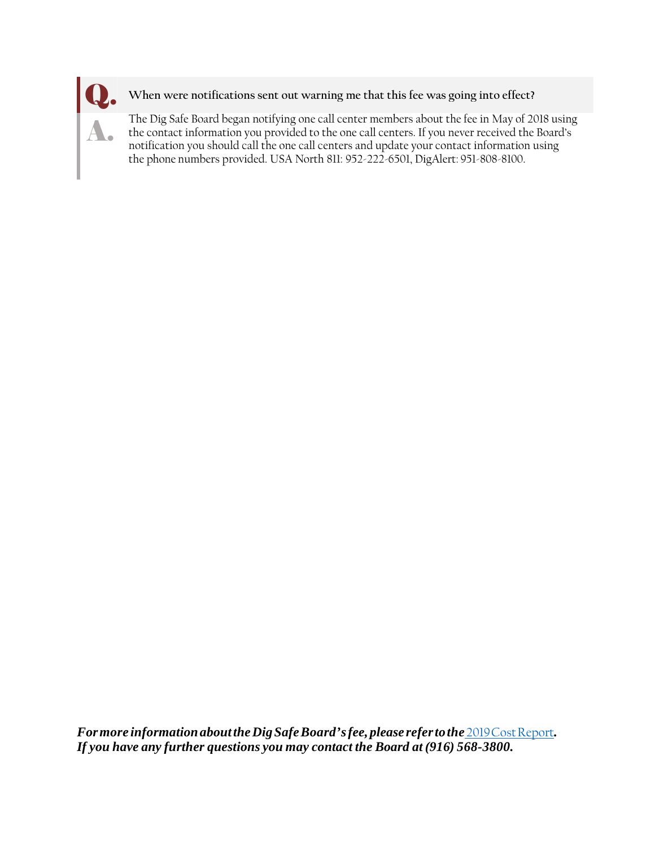

#### When were notifications sent out warning me that this fee was going into effect?

The Dig Safe Board began notifying one call center members about the fee in May of 2018 using The Dig Safe Board began notifying one call center members about the fee in May of 2018 using<br>the contact information you provided to the one call centers. If you never received the Board's<br>notification you should call the notification you should call the one call centers and update your contact information using the phone numbers provided. USA North 811: 952-222-6501, DigAlert: 951-808-8100.

 *For more information about the Dig Safe Board's fee, please refer tothe* [2019CostReport](https://digsafe.fire.ca.gov/media/1954/dig-safe-board-2019-cost-report.pdf)*. If you have any further questions you may contact the Board at (916) 568-3800.*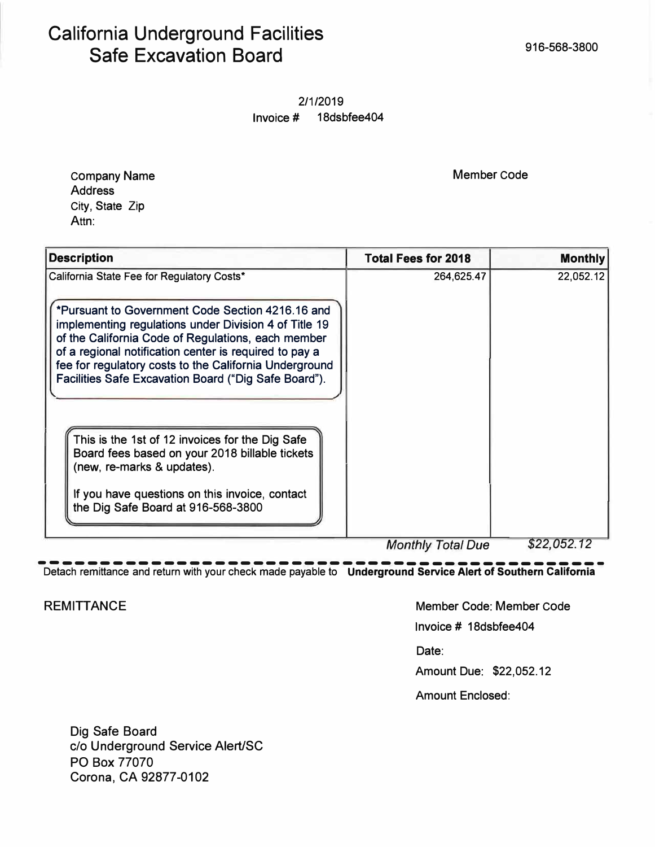## California Underground Facilities Safe Excavation Board and the state of the state of the state of the state of the state of the state of the state of the state of the state of the state of the state of the state of the state of the state of the state of t

2/1/2019 Invoice # 18dsbfee404

Company Name **Member Code** Address City, State Zip Attn:

| <b>Description</b>                                                                                                                                                                                                                                                                                                                                                                        | <b>Total Fees for 2018</b> | <b>Monthly</b> |
|-------------------------------------------------------------------------------------------------------------------------------------------------------------------------------------------------------------------------------------------------------------------------------------------------------------------------------------------------------------------------------------------|----------------------------|----------------|
| California State Fee for Regulatory Costs*<br>*Pursuant to Government Code Section 4216.16 and<br>implementing regulations under Division 4 of Title 19<br>of the California Code of Regulations, each member<br>of a regional notification center is required to pay a<br>fee for regulatory costs to the California Underground<br>Facilities Safe Excavation Board ("Dig Safe Board"). | 264,625.47                 | 22,052.12      |
| This is the 1st of 12 invoices for the Dig Safe<br>Board fees based on your 2018 billable tickets<br>(new, re-marks & updates).<br>If you have questions on this invoice, contact<br>the Dig Safe Board at 916-568-3800                                                                                                                                                                   |                            |                |
|                                                                                                                                                                                                                                                                                                                                                                                           | <b>Monthly Total Due</b>   | \$22.052.12    |

--------------------------------------------- *Month/y Total Due \$22,052.12*  Detach remittance and return with your check made payable to **Underground Service Alert of Southern California** 

REMITTANCE NET AND REMITTANCE REMITTANCE

Invoice# 18dsbfee404

Date:

Amount Due: \$22,052.12

Amount Enclosed:

Dig Safe Board c/o Underground Service Alert/SC PO Box 77070 Corona, CA 92877-0102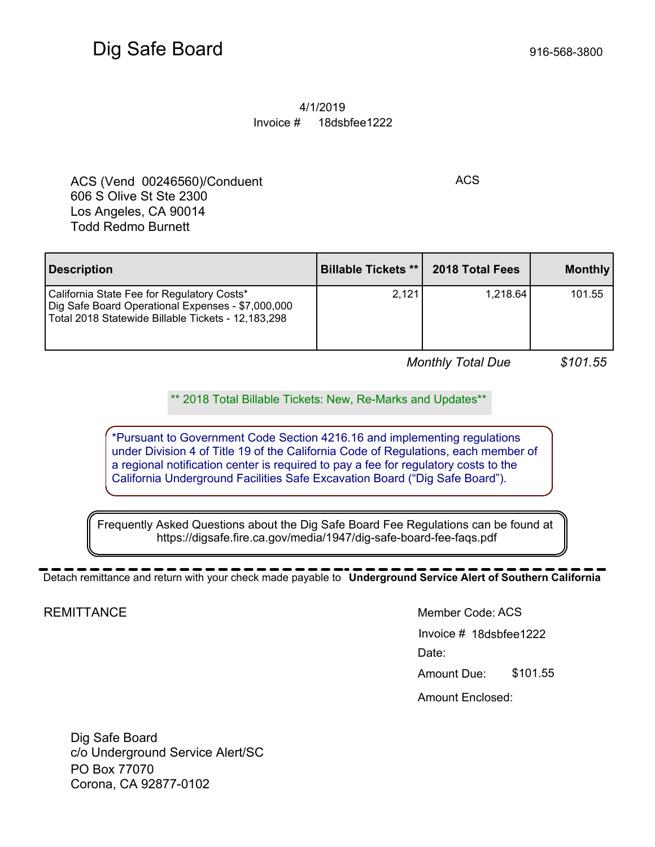#### 4/1/2019 Invoice # 18dsbfee1222

ACS (Vend 00246560)/Conduent ACS 606 S Olive St Ste 2300 Los Angeles, CA 90014 Todd Redmo Burnett

**Description Billable Tickets \*\*** | 2018 Total Fees | Monthly California State Fee for Regulatory Costs\* Dig Safe Board Operational Expenses - \$7,000,000 Total 2018 Statewide Billable Tickets - 12,183,298 2,121 1,218.64 101.55

*Monthly Total Due \$101.55* 

\*\* 2018 Total Billable Tickets: New, Re-Marks and Updates\*\*

*r*  \*Pursuant to Government Code Section 4216.16 and implementing regulations under Division 4 of Title 19 of the California Code of Regulations, each member of a regional notification center is required to pay a fee for regulatory costs to the California Underground Facilities Safe Excavation Board ("Dig Safe Board").

Frequently Asked Questions about the Dig Safe Board Fee Regulations can be found at<br>https://digsafe.fire.ca.gov/media/1947/dig-safe-board-fee-faqs.pdf<br>Detach remittance and return with your check made payable to Undergroun Frequently Asked Questions about the Dig Safe Board Fee Regulations can be found at https://digsafe.fire.ca.gov/media/1947/dig-safe-board-fee-faqs.pdf

Detach remittance and return with your check made payable to **Underground Service Alert of Southern California**

**REMITTANCE** 

#### Member Code: ACS

Invoice # 18dsbfee1222 Date:

Amount Due: \$101.55

Amount Enclosed:

Dig Safe Board c/o Underground Service Alert/SC PO Box 77070 Corona, CA 92877-0102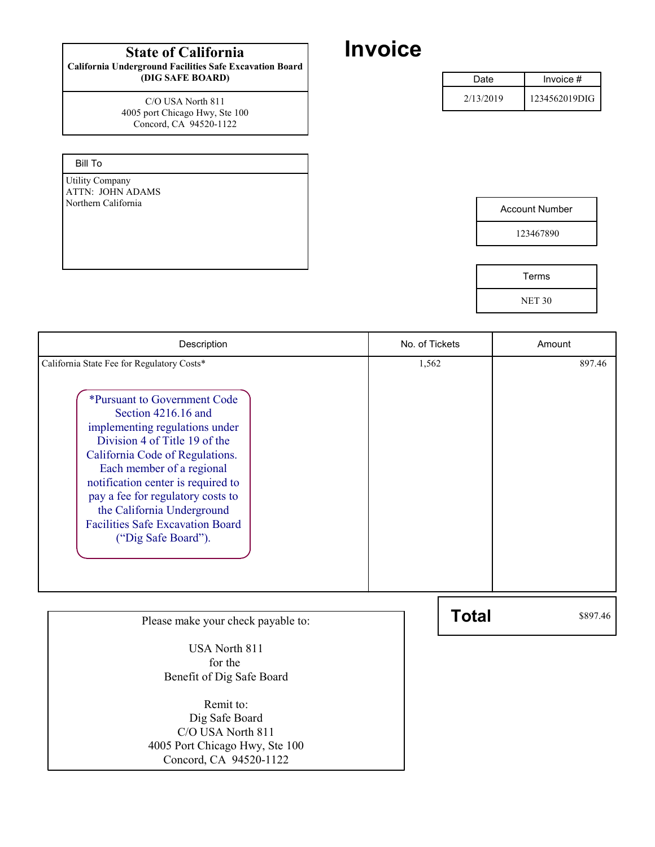## State of California **Invoice**

California Underground Facilities Safe Excavation Board (DIG SAFE BOARD)

> Concord, CA 94520-1122 C/O USA North 811 4005 port Chicago Hwy, Ste 100

Bill To

Utility Company ATTN: JOHN ADAMS<br>Northern California

| <b>Account Number</b> |  |
|-----------------------|--|

123467890

| Terms         |  |
|---------------|--|
| <b>NET 30</b> |  |

| Description                                                                                                                                                                                                                                                                                                                                                       | No. of Tickets | Amount   |  |
|-------------------------------------------------------------------------------------------------------------------------------------------------------------------------------------------------------------------------------------------------------------------------------------------------------------------------------------------------------------------|----------------|----------|--|
| California State Fee for Regulatory Costs*                                                                                                                                                                                                                                                                                                                        | 1,562          | 897.46   |  |
| *Pursuant to Government Code<br>Section 4216.16 and<br>implementing regulations under<br>Division 4 of Title 19 of the<br>California Code of Regulations.<br>Each member of a regional<br>notification center is required to<br>pay a fee for regulatory costs to<br>the California Underground<br><b>Facilities Safe Excavation Board</b><br>("Dig Safe Board"). |                |          |  |
| Please make your check payable to:                                                                                                                                                                                                                                                                                                                                | <b>Total</b>   | \$897.46 |  |
| <b>USA North 811</b><br>for the<br>Benefit of Dig Safe Board                                                                                                                                                                                                                                                                                                      |                |          |  |
| Remit to:<br>Dig Safe Board                                                                                                                                                                                                                                                                                                                                       |                |          |  |

Dig Safe Board C/O USA North 811 4005 Port Chicago Hwy, Ste 100 Concord, CA 94520-1122

| Date      | Invoice $#$   |  |
|-----------|---------------|--|
| 2/13/2019 | 1234562019DIG |  |